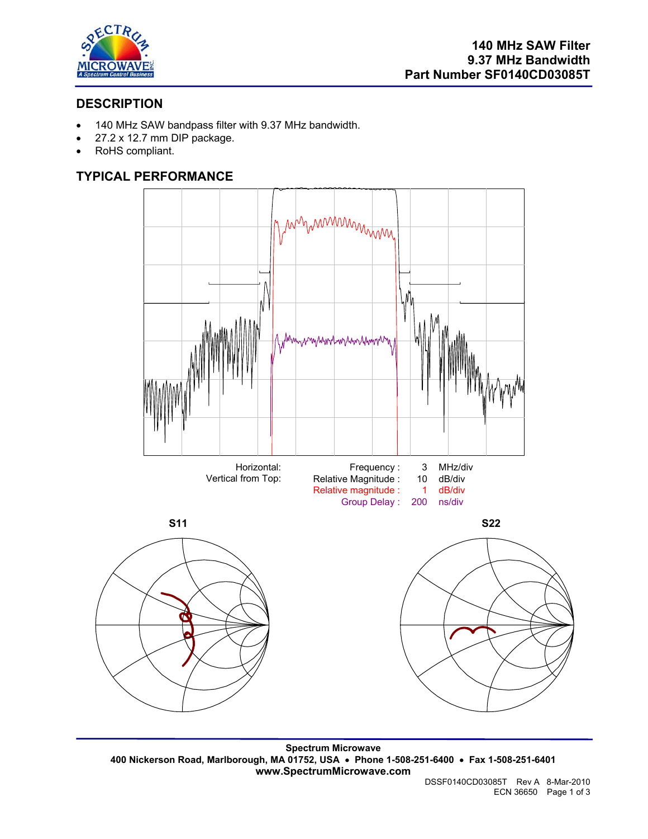

# **DESCRIPTION**

- 140 MHz SAW bandpass filter with 9.37 MHz bandwidth.
- 27.2 x 12.7 mm DIP package.
- RoHS compliant.

# **TYPICAL PERFORMANCE**



**Spectrum Microwave 400 Nickerson Road, Marlborough, MA 01752, USA** • **Phone 1-508-251-6400** • **Fax 1-508-251-6401 www.SpectrumMicrowave.com**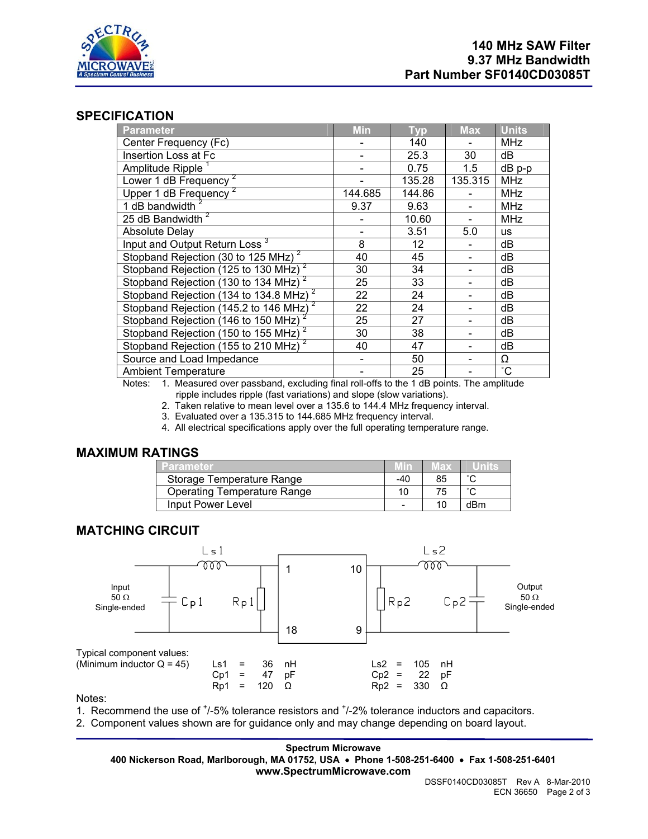

## **SPECIFICATION**

| <b>Parameter</b>                                         | <b>Min</b> | <b>Typ</b>        | <b>Max</b> | <b>Units</b>    |
|----------------------------------------------------------|------------|-------------------|------------|-----------------|
| Center Frequency (Fc)                                    |            | 140               |            | <b>MHz</b>      |
| Insertion Loss at Fc                                     |            | 25.3              | 30         | dB              |
| Amplitude Ripple                                         |            | 0.75              | 1.5        | $dB$ p-p        |
| Lower 1 dB Frequency                                     |            | 135.28            | 135.315    | <b>MHz</b>      |
| Upper 1 dB Frequency                                     | 144.685    | 144.86            |            | <b>MHz</b>      |
| 1 dB bandwidth $2$                                       | 9.37       | 9.63              |            | <b>MHz</b>      |
| 25 dB Bandwidth <sup>2</sup>                             |            | 10.60             |            | <b>MHz</b>      |
| <b>Absolute Delay</b>                                    |            | 3.51              | 5.0        | <b>us</b>       |
| Input and Output Return Loss <sup>3</sup>                | 8          | $12 \overline{ }$ |            | dB              |
| Stopband Rejection (30 to 125 MHz) <sup>2</sup>          | 40         | 45                |            | dB              |
| Stopband Rejection (125 to 130 MHz) <sup>2</sup>         | 30         | 34                |            | dB              |
| Stopband Rejection (130 to 134 MHz) <sup>2</sup>         | 25         | 33                |            | dB              |
| Stopband Rejection (134 to 134.8 MHz) <sup>2</sup>       | 22         | 24                |            | dB              |
| Stopband Rejection (145.2 to 146 MHz)                    | 22         | 24                |            | dB              |
| Stopband Rejection $(146 \text{ to } 150 \text{ MHz})^2$ | 25         | 27                |            | dB              |
| Stopband Rejection (150 to 155 MHz) <sup>2</sup>         | 30         | 38                |            | dB              |
| Stopband Rejection (155 to 210 MHz) <sup>2</sup>         | 40         | 47                |            | dB              |
| Source and Load Impedance                                |            | 50                |            | Ω               |
| <b>Ambient Temperature</b>                               |            | 25                |            | $\rm ^{\circ}C$ |

Notes: 1. Measured over passband, excluding final roll-offs to the 1 dB points. The amplitude ripple includes ripple (fast variations) and slope (slow variations).

- 2. Taken relative to mean level over a 135.6 to 144.4 MHz frequency interval.
- 3. Evaluated over a 135.315 to 144.685 MHz frequency interval.
- 4. All electrical specifications apply over the full operating temperature range.

## **MAXIMUM RATINGS**

| Parameter                          |     | чах            |        |
|------------------------------------|-----|----------------|--------|
| Storage Temperature Range          | -40 | 85             | $\sim$ |
| <b>Operating Temperature Range</b> |     | 75             | $\sim$ |
| Input Power Level                  | -   | 1 <sup>C</sup> | dBm    |

## **MATCHING CIRCUIT**



Notes:

1. Recommend the use of  $\frac{1}{5}\%$  tolerance resistors and  $\frac{1}{2}\%$  tolerance inductors and capacitors.

2. Component values shown are for guidance only and may change depending on board layout.

**Spectrum Microwave 400 Nickerson Road, Marlborough, MA 01752, USA** • **Phone 1-508-251-6400** • **Fax 1-508-251-6401 www.SpectrumMicrowave.com**